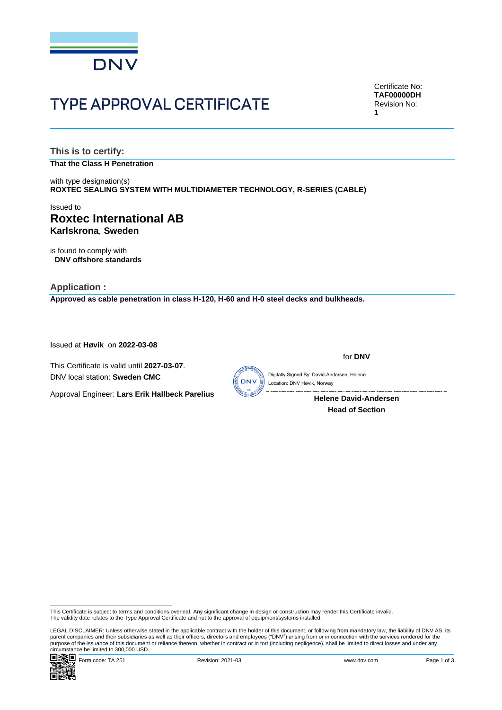

# **TYPE APPROVAL CERTIFICATE**

Certificate No: **TAF00000DH** Revision No: **1**

**This is to certify: That the Class H Penetration**

with type designation(s) **ROXTEC SEALING SYSTEM WITH MULTIDIAMETER TECHNOLOGY, R-SERIES (CABLE)**

# Issued to **Roxtec International AB Karlskrona**, **Sweden**

is found to comply with **DNV offshore standards**

**Application : Approved as cable penetration in class H-120, H-60 and H-0 steel decks and bulkheads.**

Issued at **Høvik** on **2022-03-08**

This Certificate is valid until **2027-03-07**. DNV local station: **Sweden CMC**



for **DNV**

Digitally Signed By: David-Andersen, Helene Location: DNV Høvik, Norway

> **Helene David-Andersen Head of Section**

Approval Engineer: **Lars Erik Hallbeck Parelius**

LEGAL DISCLAIMER: Unless otherwise stated in the applicable contract with the holder of this document, or following from mandatory law, the liability of DNV AS, its<br>parent companies and their subsidiaries as well as their purpose of the issuance of this document or reliance thereon, whether in contract or in tort (including negligence), shall be limited to direct losses and under any circumstance be limited to 300,000 USD.



This Certificate is subject to terms and conditions overleaf. Any significant change in design or construction may render this Certificate invalid.<br>The validity date relates to the Type Approval Certificate and not to the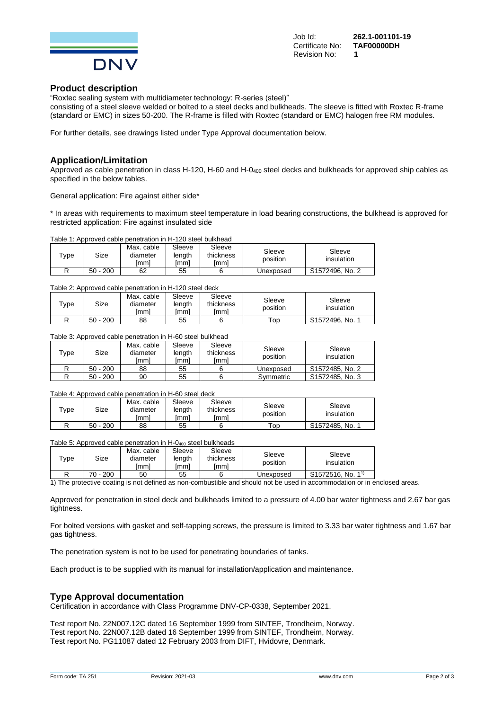

Job Id: **262.1-001101-19 Certificate No:** Revision No: **1**

## **Product description**

"Roxtec sealing system with multidiameter technology: R-series (steel)" consisting of a steel sleeve welded or bolted to a steel decks and bulkheads. The sleeve is fitted with Roxtec R-frame (standard or EMC) in sizes 50-200. The R-frame is filled with Roxtec (standard or EMC) halogen free RM modules.

For further details, see drawings listed under Type Approval documentation below.

## **Application/Limitation**

Approved as cable penetration in class H-120, H-60 and H-0<sup>400</sup> steel decks and bulkheads for approved ship cables as specified in the below tables.

General application: Fire against either side\*

\* In areas with requirements to maximum steel temperature in load bearing constructions, the bulkhead is approved for restricted application: Fire against insulated side

### Table 1: Approved cable penetration in H-120 steel bulkhead

| $\tau_{\text{ype}}$ | Size      | Max. cable<br>diameter<br>lmml | Sleeve<br>length<br>[mm] | Sleeve<br>thickness<br>lmml | Sleeve<br>position | Sleeve<br>insulation |
|---------------------|-----------|--------------------------------|--------------------------|-----------------------------|--------------------|----------------------|
|                     | 200<br>50 | 62                             | 55                       |                             | Unexposed          | S1572496, No. 2      |

### Table 2: Approved cable penetration in H-120 steel deck

| $\tau_\mathsf{VDE}$ | Size      | Max. cable<br>diameter<br>lmml | Sleeve<br>length<br>Imml | Sleeve<br>thickness<br>lmml | Sleeve<br>position | Sleeve<br>insulation |
|---------------------|-----------|--------------------------------|--------------------------|-----------------------------|--------------------|----------------------|
|                     | 200<br>50 | 88                             | 55                       |                             | ōp                 | S1572496, No.        |

## Table 3: Approved cable penetration in H-60 steel bulkhead

| $\tau_\mathsf{VDE}$ | Size       | Max. cable<br>diameter<br>Imml | Sleeve<br>length<br>[mm] | Sleeve<br>thickness<br>Imml | Sleeve<br>position | Sleeve<br>insulation |
|---------------------|------------|--------------------------------|--------------------------|-----------------------------|--------------------|----------------------|
|                     | $50 - 200$ | 88                             | 55                       |                             | Unexposed          | S1572485, No. 2      |
|                     | $50 - 200$ | 90                             | 55                       |                             | Symmetric          | S1572485, No. 3      |

## Table 4: Approved cable penetration in H-60 steel deck

| $\tau_{\text{ype}}$ | Size          | Max. cable<br>diameter<br>Imml | Sleeve<br>lenath<br>ımml | Sleeve<br>thickness<br>lmml | Sleeve<br>position   | Sleeve<br>insulation |
|---------------------|---------------|--------------------------------|--------------------------|-----------------------------|----------------------|----------------------|
|                     | 200<br>$50 -$ | 88                             | 55                       |                             | $\tau_{\mathsf{OD}}$ | S1572485.<br>No.     |

Table 5: Approved cable penetration in  $H$ -0<sub>400</sub> steel bulkheads

| $\tau_{\text{ype}}$ | Size          | Max. cable<br>diameter<br>lmml | Sleeve<br>lenath<br>mml | Sleeve<br>thickness<br>lmml | Sleeve<br>position | Sleeve<br>insulation          |
|---------------------|---------------|--------------------------------|-------------------------|-----------------------------|--------------------|-------------------------------|
|                     | 200<br>$70 -$ | 50                             | 55                      |                             | Unexposed          | S1572516, No. 1 <sup>1)</sup> |

1) The protective coating is not defined as non-combustible and should not be used in accommodation or in enclosed areas.

Approved for penetration in steel deck and bulkheads limited to a pressure of 4.00 bar water tightness and 2.67 bar gas tightness.

For bolted versions with gasket and self-tapping screws, the pressure is limited to 3.33 bar water tightness and 1.67 bar gas tightness.

The penetration system is not to be used for penetrating boundaries of tanks.

Each product is to be supplied with its manual for installation/application and maintenance.

## **Type Approval documentation**

Certification in accordance with Class Programme DNV-CP-0338, September 2021.

Test report No. 22N007.12C dated 16 September 1999 from SINTEF, Trondheim, Norway. Test report No. 22N007.12B dated 16 September 1999 from SINTEF, Trondheim, Norway. Test report No. PG11087 dated 12 February 2003 from DIFT, Hvidovre, Denmark.